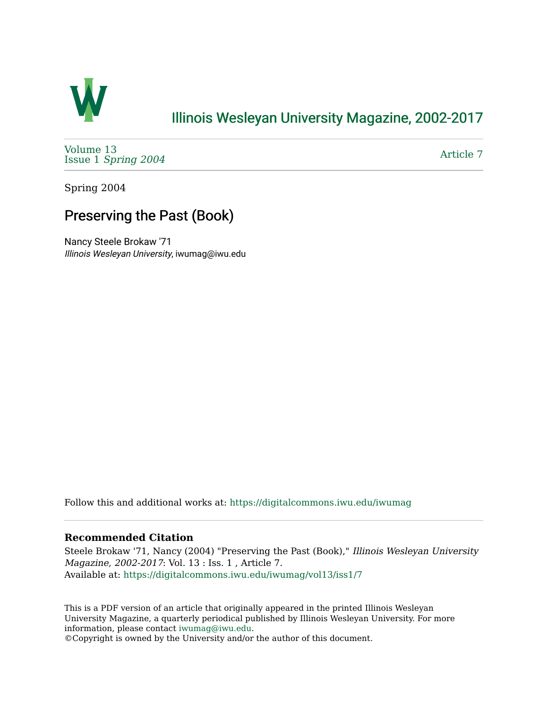

### [Illinois Wesleyan University Magazine, 2002-2017](https://digitalcommons.iwu.edu/iwumag)

[Volume 13](https://digitalcommons.iwu.edu/iwumag/vol13)  Issue 1 [Spring 2004](https://digitalcommons.iwu.edu/iwumag/vol13/iss1)

[Article 7](https://digitalcommons.iwu.edu/iwumag/vol13/iss1/7) 

Spring 2004

## Preserving the Past (Book)

Nancy Steele Brokaw '71 Illinois Wesleyan University, iwumag@iwu.edu

Follow this and additional works at: [https://digitalcommons.iwu.edu/iwumag](https://digitalcommons.iwu.edu/iwumag?utm_source=digitalcommons.iwu.edu%2Fiwumag%2Fvol13%2Fiss1%2F7&utm_medium=PDF&utm_campaign=PDFCoverPages) 

#### **Recommended Citation**

Steele Brokaw '71, Nancy (2004) "Preserving the Past (Book)," Illinois Wesleyan University Magazine, 2002-2017: Vol. 13 : Iss. 1 , Article 7. Available at: [https://digitalcommons.iwu.edu/iwumag/vol13/iss1/7](https://digitalcommons.iwu.edu/iwumag/vol13/iss1/7?utm_source=digitalcommons.iwu.edu%2Fiwumag%2Fvol13%2Fiss1%2F7&utm_medium=PDF&utm_campaign=PDFCoverPages)

This is a PDF version of an article that originally appeared in the printed Illinois Wesleyan University Magazine, a quarterly periodical published by Illinois Wesleyan University. For more information, please contact [iwumag@iwu.edu](mailto:iwumag@iwu.edu).

©Copyright is owned by the University and/or the author of this document.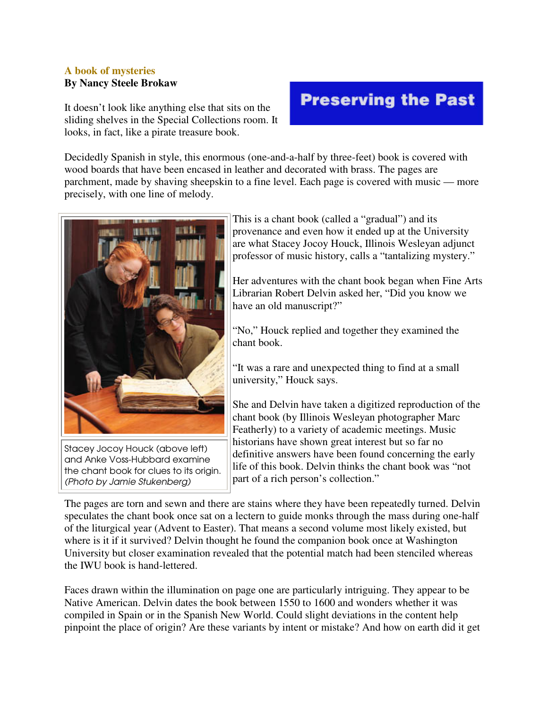#### **A book of mysteries By Nancy Steele Brokaw**

It doesn't look like anything else that sits on the sliding shelves in the Special Collections room. It looks, in fact, like a pirate treasure book.

# **Preserving the Past**

Decidedly Spanish in style, this enormous (one-and-a-half by three-feet) book is covered with wood boards that have been encased in leather and decorated with brass. The pages are parchment, made by shaving sheepskin to a fine level. Each page is covered with music — more precisely, with one line of melody.



Stacey Jocoy Houck (above left) and Anke Voss-Hubbard examine the chant book for clues to its origin. (Photo by Jamie Stukenberg)

This is a chant book (called a "gradual") and its provenance and even how it ended up at the University are what Stacey Jocoy Houck, Illinois Wesleyan adjunct professor of music history, calls a "tantalizing mystery."

Her adventures with the chant book began when Fine Arts Librarian Robert Delvin asked her, "Did you know we have an old manuscript?"

"No," Houck replied and together they examined the chant book.

"It was a rare and unexpected thing to find at a small university," Houck says.

She and Delvin have taken a digitized reproduction of the chant book (by Illinois Wesleyan photographer Marc Featherly) to a variety of academic meetings. Music historians have shown great interest but so far no definitive answers have been found concerning the early life of this book. Delvin thinks the chant book was "not part of a rich person's collection."

The pages are torn and sewn and there are stains where they have been repeatedly turned. Delvin speculates the chant book once sat on a lectern to guide monks through the mass during one-half of the liturgical year (Advent to Easter). That means a second volume most likely existed, but where is it if it survived? Delvin thought he found the companion book once at Washington University but closer examination revealed that the potential match had been stenciled whereas the IWU book is hand-lettered.

Faces drawn within the illumination on page one are particularly intriguing. They appear to be Native American. Delvin dates the book between 1550 to 1600 and wonders whether it was compiled in Spain or in the Spanish New World. Could slight deviations in the content help pinpoint the place of origin? Are these variants by intent or mistake? And how on earth did it get